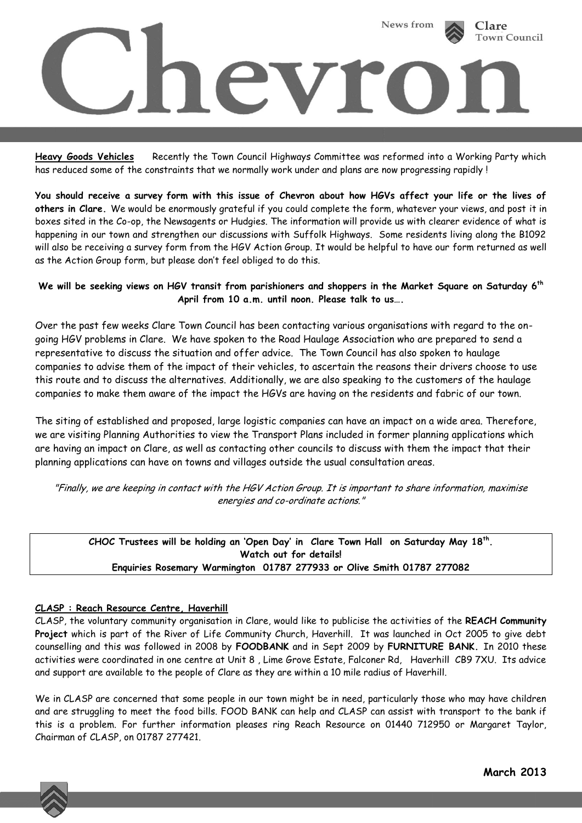

**Heavy Goods Vehicles** Recently the Town Council Highways Committee was reformed into a Working Party which has reduced some of the constraints that we normally work under and plans are now progressing rapidly !

**You should receive a survey form with this issue of Chevron about how HGVs affect your life or the lives of others in Clare.** We would be enormously grateful if you could complete the form, whatever your views, and post it in boxes sited in the Co-op, the Newsagents or Hudgies. The information will provide us with clearer evidence of what is happening in our town and strengthen our discussions with Suffolk Highways. Some residents living along the B1092 will also be receiving a survey form from the HGV Action Group. It would be helpful to have our form returned as well as the Action Group form, but please don't feel obliged to do this.

## **We will be seeking views on HGV transit from parishioners and shoppers in the Market Square on Saturday 6th April from 10 a.m. until noon. Please talk to us….**

Over the past few weeks Clare Town Council has been contacting various organisations with regard to the ongoing HGV problems in Clare. We have spoken to the Road Haulage Association who are prepared to send a representative to discuss the situation and offer advice. The Town Council has also spoken to haulage companies to advise them of the impact of their vehicles, to ascertain the reasons their drivers choose to use this route and to discuss the alternatives. Additionally, we are also speaking to the customers of the haulage companies to make them aware of the impact the HGVs are having on the residents and fabric of our town.

The siting of established and proposed, large logistic companies can have an impact on a wide area. Therefore, we are visiting Planning Authorities to view the Transport Plans included in former planning applications which are having an impact on Clare, as well as contacting other councils to discuss with them the impact that their planning applications can have on towns and villages outside the usual consultation areas.

"Finally, we are keeping in contact with the HGV Action Group. It is important to share information, maximise energies and co-ordinate actions."

**CHOC Trustees will be holding an 'Open Day' in Clare Town Hall on Saturday May 18th . Watch out for details! Enquiries Rosemary Warmington 01787 277933 or Olive Smith 01787 277082**

#### **CLASP : Reach Resource Centre, Haverhill**

CLASP, the voluntary community organisation in Clare, would like to publicise the activities of the **REACH Community Project** which is part of the River of Life Community Church, Haverhill. It was launched in Oct 2005 to give debt counselling and this was followed in 2008 by **FOODBANK** and in Sept 2009 by **FURNITURE BANK.** In 2010 these activities were coordinated in one centre at Unit 8 , Lime Grove Estate, Falconer Rd, Haverhill CB9 7XU. Its advice and support are available to the people of Clare as they are within a 10 mile radius of Haverhill.

We in CLASP are concerned that some people in our town might be in need, particularly those who may have children and are struggling to meet the food bills. FOOD BANK can help and CLASP can assist with transport to the bank if this is a problem. For further information pleases ring Reach Resource on 01440 712950 or Margaret Taylor, Chairman of CLASP, on 01787 277421.